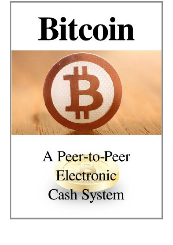## **Bitcoin**



## A Peer-to-Peer Electronic **Cash System**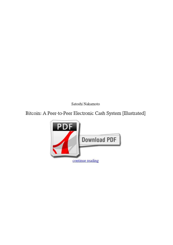*Satoshi Nakamoto*

## **Bitcoin: A Peer-to-Peer Electronic Cash System [Illustrated]**

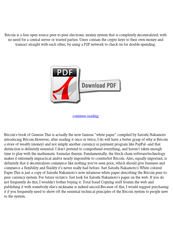Bitcoin is a free open source peer-to-peer electronic money system that is completely decentralized, with no need for a central server or trusted parties. Users contain the crypto keys to their own money and transact straight with each other, by using a P2P network to check on for double-spending.



[continue reading](http://bit.ly/2Tge8Fv)

Bitcoin's book of Genesis This is actually the now famous "white paper" compiled by Satoshi Nakamoto introducing Bitcoin.However, after reading it once or twice, I do will have a better grasp of why is Bitcoin a store of wealth (money) and not simply another currency or payment program like PayPal--and that distinction is definitely essential. I don't pretend to comprehend everything, and haven't taken enough time to play with the mathematic formulas therein. Fundamentally, the block-chain software/technology makes it extremely impractical and/or nearly impossible to counterfeit Bitcoin. Also, equally important, is definitely that it decentralizes commerce like nothing you've seen prior, which should give business and commerce a flexibility and fluidity it's never really had before. Just Satoshi Nakamoto's White colored Paper This is just a copy of Satoshi Nakamoto's now infamous white paper describing the Bitcoin peer-topeer currency system. For future victim's: Just look for Satoshi Nakamoto's paper on the web. If you do not frequently do this, I wouldn't bother buying it. Total fraud Copying stuff fromm the web and publishing it with somebody else's nickname is indeed uncool.Because of this, I would suggest purchasing it if you frequently need to show off the essential technical principles of the Bitcoin system to people new to the system.